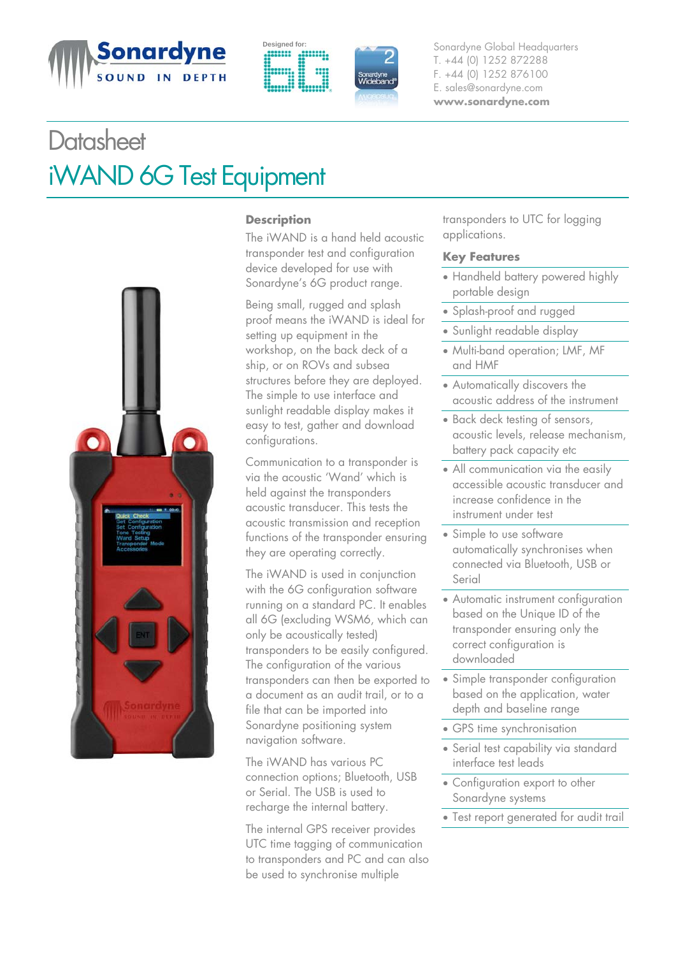





**Designed for:** Sonardyne Global Headquarters T. +44 (0) 1252 872288 F. +44 (0) 1252 876100 E. sales@sonardyne.com **www.sonardyne.com**

## **Datasheet** iWAND 6G Test Equipment



## **Description**

The iWAND is a hand held acoustic transponder test and configuration device developed for use with Sonardyne's 6G product range.

Being small, rugged and splash proof means the iWAND is ideal for setting up equipment in the workshop, on the back deck of a ship, or on ROVs and subsea structures before they are deployed. The simple to use interface and sunlight readable display makes it easy to test, gather and download configurations.

Communication to a transponder is via the acoustic 'Wand' which is held against the transponders acoustic transducer. This tests the acoustic transmission and reception functions of the transponder ensuring they are operating correctly.

The iWAND is used in conjunction with the 6G configuration software running on a standard PC. It enables all 6G (excluding WSM6, which can only be acoustically tested) transponders to be easily configured. The configuration of the various transponders can then be exported to a document as an audit trail, or to a file that can be imported into Sonardyne positioning system navigation software.

The iWAND has various PC connection options; Bluetooth, USB or Serial. The USB is used to recharge the internal battery.

The internal GPS receiver provides UTC time tagging of communication to transponders and PC and can also be used to synchronise multiple

transponders to UTC for logging applications.

## **Key Features**

- Handheld battery powered highly portable design
- Splash-proof and rugged
- Sunlight readable display
- Multi-band operation; LMF, MF and HMF
- Automatically discovers the acoustic address of the instrument
- Back deck testing of sensors, acoustic levels, release mechanism, battery pack capacity etc
- All communication via the easily accessible acoustic transducer and increase confidence in the instrument under test
- Simple to use software automatically synchronises when connected via Bluetooth, USB or Serial
- Automatic instrument configuration based on the Unique ID of the transponder ensuring only the correct configuration is downloaded
- Simple transponder configuration based on the application, water depth and baseline range
- GPS time synchronisation
- Serial test capability via standard interface test leads
- Configuration export to other Sonardyne systems
- Test report generated for audit trail